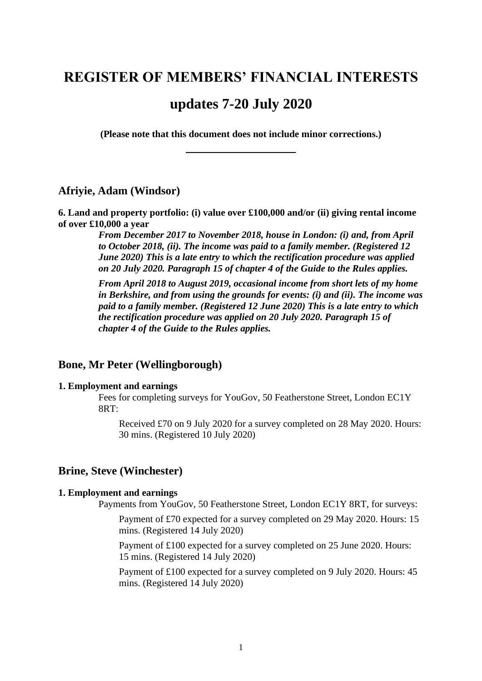# **REGISTER OF MEMBERS' FINANCIAL INTERESTS**

# **updates 7-20 July 2020**

**(Please note that this document does not include minor corrections.) \_\_\_\_\_\_\_\_\_\_\_\_\_\_\_\_\_**

### **Afriyie, Adam (Windsor)**

**6. Land and property portfolio: (i) value over £100,000 and/or (ii) giving rental income of over £10,000 a year**

> *From December 2017 to November 2018, house in London: (i) and, from April to October 2018, (ii). The income was paid to a family member. (Registered 12 June 2020) This is a late entry to which the rectification procedure was applied on 20 July 2020. Paragraph 15 of chapter 4 of the Guide to the Rules applies.*

*From April 2018 to August 2019, occasional income from short lets of my home in Berkshire, and from using the grounds for events: (i) and (ii). The income was paid to a family member. (Registered 12 June 2020) This is a late entry to which the rectification procedure was applied on 20 July 2020. Paragraph 15 of chapter 4 of the Guide to the Rules applies.*

### **Bone, Mr Peter (Wellingborough)**

### **1. Employment and earnings**

Fees for completing surveys for YouGov, 50 Featherstone Street, London EC1Y 8RT:

Received £70 on 9 July 2020 for a survey completed on 28 May 2020. Hours: 30 mins. (Registered 10 July 2020)

### **Brine, Steve (Winchester)**

#### **1. Employment and earnings**

Payments from YouGov, 50 Featherstone Street, London EC1Y 8RT, for surveys:

Payment of £70 expected for a survey completed on 29 May 2020. Hours: 15 mins. (Registered 14 July 2020)

Payment of £100 expected for a survey completed on 25 June 2020. Hours: 15 mins. (Registered 14 July 2020)

Payment of £100 expected for a survey completed on 9 July 2020. Hours: 45 mins. (Registered 14 July 2020)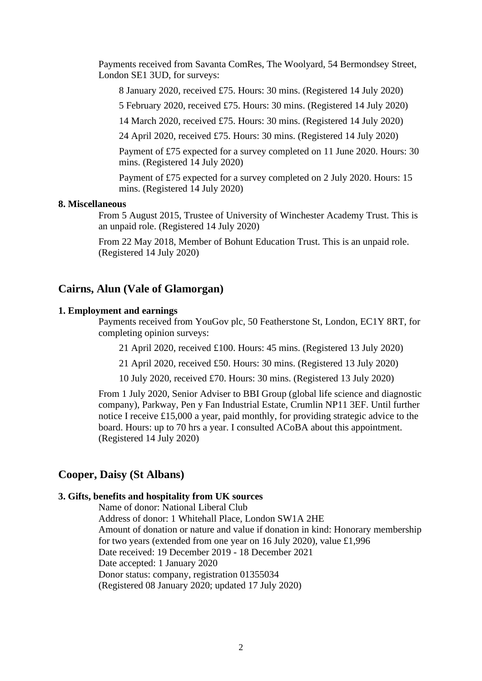Payments received from Savanta ComRes, The Woolyard, 54 Bermondsey Street, London SE1 3UD, for surveys:

8 January 2020, received £75. Hours: 30 mins. (Registered 14 July 2020)

5 February 2020, received £75. Hours: 30 mins. (Registered 14 July 2020)

14 March 2020, received £75. Hours: 30 mins. (Registered 14 July 2020)

24 April 2020, received £75. Hours: 30 mins. (Registered 14 July 2020)

Payment of £75 expected for a survey completed on 11 June 2020. Hours: 30 mins. (Registered 14 July 2020)

Payment of £75 expected for a survey completed on 2 July 2020. Hours: 15 mins. (Registered 14 July 2020)

#### **8. Miscellaneous**

From 5 August 2015, Trustee of University of Winchester Academy Trust. This is an unpaid role. (Registered 14 July 2020)

From 22 May 2018, Member of Bohunt Education Trust. This is an unpaid role. (Registered 14 July 2020)

### **Cairns, Alun (Vale of Glamorgan)**

### **1. Employment and earnings**

Payments received from YouGov plc, 50 Featherstone St, London, EC1Y 8RT, for completing opinion surveys:

21 April 2020, received £100. Hours: 45 mins. (Registered 13 July 2020)

21 April 2020, received £50. Hours: 30 mins. (Registered 13 July 2020)

10 July 2020, received £70. Hours: 30 mins. (Registered 13 July 2020)

From 1 July 2020, Senior Adviser to BBI Group (global life science and diagnostic company), Parkway, Pen y Fan Industrial Estate, Crumlin NP11 3EF. Until further notice I receive £15,000 a year, paid monthly, for providing strategic advice to the board. Hours: up to 70 hrs a year. I consulted ACoBA about this appointment. (Registered 14 July 2020)

### **Cooper, Daisy (St Albans)**

#### **3. Gifts, benefits and hospitality from UK sources**

Name of donor: National Liberal Club Address of donor: 1 Whitehall Place, London SW1A 2HE Amount of donation or nature and value if donation in kind: Honorary membership for two years (extended from one year on 16 July 2020), value £1,996 Date received: 19 December 2019 - 18 December 2021 Date accepted: 1 January 2020 Donor status: company, registration 01355034 (Registered 08 January 2020; updated 17 July 2020)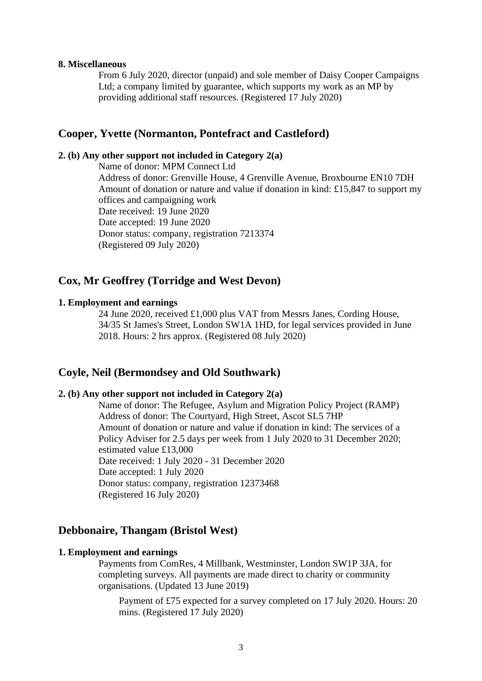#### **8. Miscellaneous**

From 6 July 2020, director (unpaid) and sole member of Daisy Cooper Campaigns Ltd; a company limited by guarantee, which supports my work as an MP by providing additional staff resources. (Registered 17 July 2020)

### **Cooper, Yvette (Normanton, Pontefract and Castleford)**

### **2. (b) Any other support not included in Category 2(a)**

Name of donor: MPM Connect Ltd Address of donor: Grenville House, 4 Grenville Avenue, Broxbourne EN10 7DH Amount of donation or nature and value if donation in kind: £15,847 to support my offices and campaigning work Date received: 19 June 2020 Date accepted: 19 June 2020 Donor status: company, registration 7213374 (Registered 09 July 2020)

# **Cox, Mr Geoffrey (Torridge and West Devon)**

#### **1. Employment and earnings**

24 June 2020, received £1,000 plus VAT from Messrs Janes, Cording House, 34/35 St James's Street, London SW1A 1HD, for legal services provided in June 2018. Hours: 2 hrs approx. (Registered 08 July 2020)

### **Coyle, Neil (Bermondsey and Old Southwark)**

### **2. (b) Any other support not included in Category 2(a)**

Name of donor: The Refugee, Asylum and Migration Policy Project (RAMP) Address of donor: The Courtyard, High Street, Ascot SL5 7HP Amount of donation or nature and value if donation in kind: The services of a Policy Adviser for 2.5 days per week from 1 July 2020 to 31 December 2020; estimated value £13,000 Date received: 1 July 2020 - 31 December 2020 Date accepted: 1 July 2020 Donor status: company, registration 12373468 (Registered 16 July 2020)

### **Debbonaire, Thangam (Bristol West)**

#### **1. Employment and earnings**

Payments from ComRes, 4 Millbank, Westminster, London SW1P 3JA, for completing surveys. All payments are made direct to charity or community organisations. (Updated 13 June 2019)

Payment of £75 expected for a survey completed on 17 July 2020. Hours: 20 mins. (Registered 17 July 2020)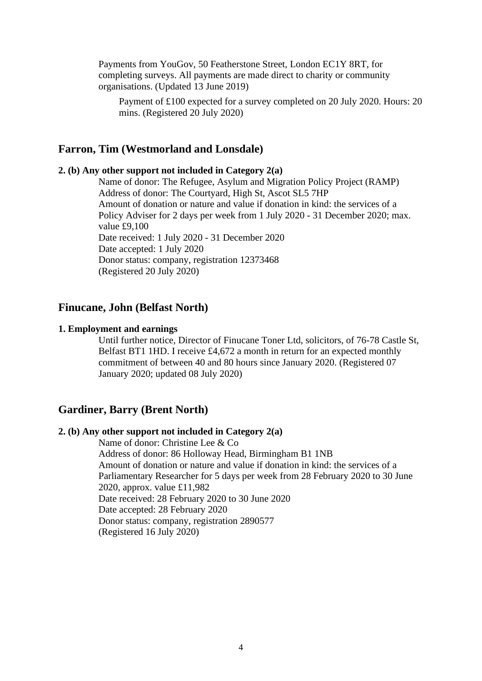Payments from YouGov, 50 Featherstone Street, London EC1Y 8RT, for completing surveys. All payments are made direct to charity or community organisations. (Updated 13 June 2019)

Payment of £100 expected for a survey completed on 20 July 2020. Hours: 20 mins. (Registered 20 July 2020)

### **Farron, Tim (Westmorland and Lonsdale)**

#### **2. (b) Any other support not included in Category 2(a)**

Name of donor: The Refugee, Asylum and Migration Policy Project (RAMP) Address of donor: The Courtyard, High St, Ascot SL5 7HP Amount of donation or nature and value if donation in kind: the services of a Policy Adviser for 2 days per week from 1 July 2020 - 31 December 2020; max. value £9,100 Date received: 1 July 2020 - 31 December 2020 Date accepted: 1 July 2020 Donor status: company, registration 12373468 (Registered 20 July 2020)

### **Finucane, John (Belfast North)**

### **1. Employment and earnings**

Until further notice, Director of Finucane Toner Ltd, solicitors, of 76-78 Castle St, Belfast BT1 1HD. I receive £4,672 a month in return for an expected monthly commitment of between 40 and 80 hours since January 2020. (Registered 07 January 2020; updated 08 July 2020)

### **Gardiner, Barry (Brent North)**

### **2. (b) Any other support not included in Category 2(a)**

Name of donor: Christine Lee & Co Address of donor: 86 Holloway Head, Birmingham B1 1NB Amount of donation or nature and value if donation in kind: the services of a Parliamentary Researcher for 5 days per week from 28 February 2020 to 30 June 2020, approx. value £11,982 Date received: 28 February 2020 to 30 June 2020 Date accepted: 28 February 2020 Donor status: company, registration 2890577 (Registered 16 July 2020)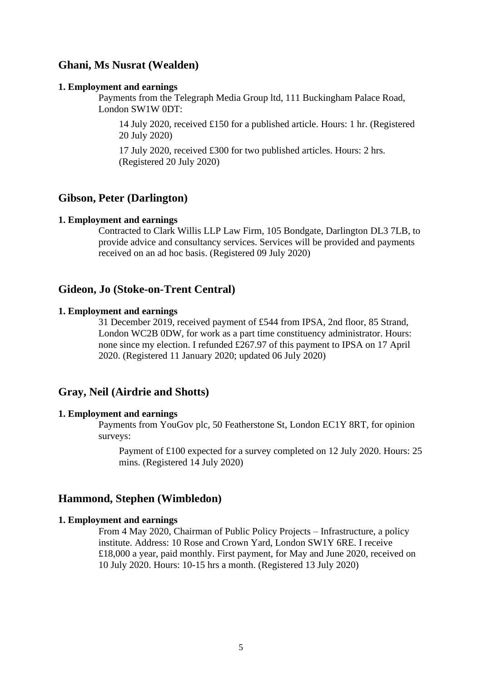# **Ghani, Ms Nusrat (Wealden)**

#### **1. Employment and earnings**

Payments from the Telegraph Media Group ltd, 111 Buckingham Palace Road, London SW1W 0DT:

14 July 2020, received £150 for a published article. Hours: 1 hr. (Registered 20 July 2020)

17 July 2020, received £300 for two published articles. Hours: 2 hrs. (Registered 20 July 2020)

### **Gibson, Peter (Darlington)**

#### **1. Employment and earnings**

Contracted to Clark Willis LLP Law Firm, 105 Bondgate, Darlington DL3 7LB, to provide advice and consultancy services. Services will be provided and payments received on an ad hoc basis. (Registered 09 July 2020)

### **Gideon, Jo (Stoke-on-Trent Central)**

#### **1. Employment and earnings**

31 December 2019, received payment of £544 from IPSA, 2nd floor, 85 Strand, London WC2B 0DW, for work as a part time constituency administrator. Hours: none since my election. I refunded £267.97 of this payment to IPSA on 17 April 2020. (Registered 11 January 2020; updated 06 July 2020)

### **Gray, Neil (Airdrie and Shotts)**

#### **1. Employment and earnings**

Payments from YouGov plc, 50 Featherstone St, London EC1Y 8RT, for opinion surveys:

Payment of £100 expected for a survey completed on 12 July 2020. Hours: 25 mins. (Registered 14 July 2020)

#### **Hammond, Stephen (Wimbledon)**

#### **1. Employment and earnings**

From 4 May 2020, Chairman of Public Policy Projects – Infrastructure, a policy institute. Address: 10 Rose and Crown Yard, London SW1Y 6RE. I receive £18,000 a year, paid monthly. First payment, for May and June 2020, received on 10 July 2020. Hours: 10-15 hrs a month. (Registered 13 July 2020)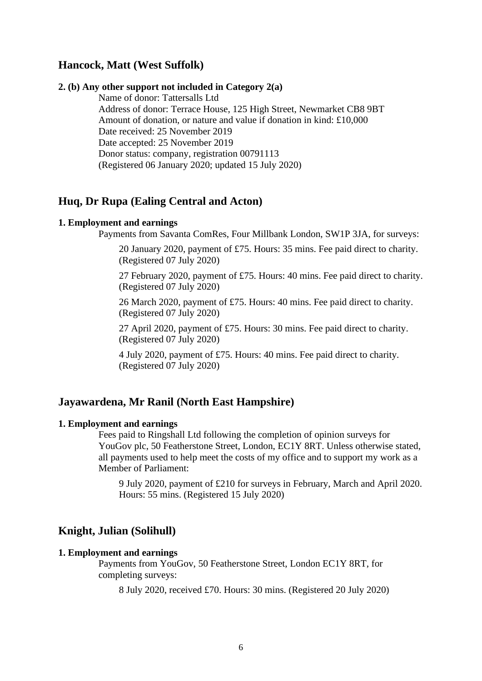# **Hancock, Matt (West Suffolk)**

#### **2. (b) Any other support not included in Category 2(a)**

Name of donor: Tattersalls Ltd Address of donor: Terrace House, 125 High Street, Newmarket CB8 9BT Amount of donation, or nature and value if donation in kind: £10,000 Date received: 25 November 2019 Date accepted: 25 November 2019 Donor status: company, registration 00791113 (Registered 06 January 2020; updated 15 July 2020)

# **Huq, Dr Rupa (Ealing Central and Acton)**

#### **1. Employment and earnings**

Payments from Savanta ComRes, Four Millbank London, SW1P 3JA, for surveys:

20 January 2020, payment of £75. Hours: 35 mins. Fee paid direct to charity. (Registered 07 July 2020)

27 February 2020, payment of £75. Hours: 40 mins. Fee paid direct to charity. (Registered 07 July 2020)

26 March 2020, payment of £75. Hours: 40 mins. Fee paid direct to charity. (Registered 07 July 2020)

27 April 2020, payment of £75. Hours: 30 mins. Fee paid direct to charity. (Registered 07 July 2020)

4 July 2020, payment of £75. Hours: 40 mins. Fee paid direct to charity. (Registered 07 July 2020)

### **Jayawardena, Mr Ranil (North East Hampshire)**

#### **1. Employment and earnings**

Fees paid to Ringshall Ltd following the completion of opinion surveys for YouGov plc, 50 Featherstone Street, London, EC1Y 8RT. Unless otherwise stated, all payments used to help meet the costs of my office and to support my work as a Member of Parliament:

9 July 2020, payment of £210 for surveys in February, March and April 2020. Hours: 55 mins. (Registered 15 July 2020)

### **Knight, Julian (Solihull)**

#### **1. Employment and earnings**

Payments from YouGov, 50 Featherstone Street, London EC1Y 8RT, for completing surveys:

8 July 2020, received £70. Hours: 30 mins. (Registered 20 July 2020)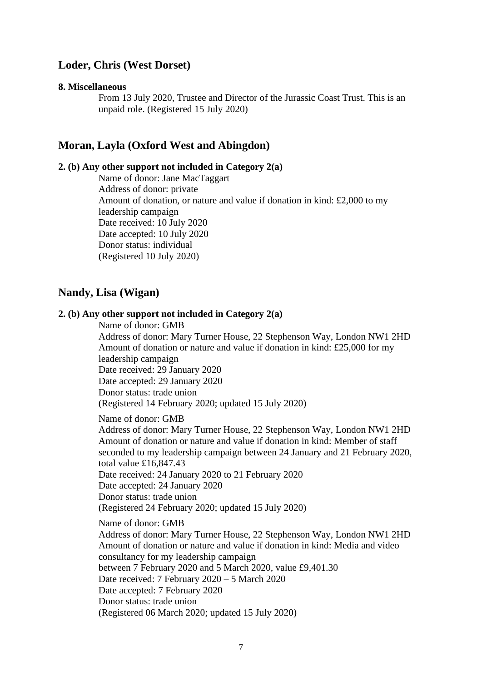# **Loder, Chris (West Dorset)**

#### **8. Miscellaneous**

From 13 July 2020, Trustee and Director of the Jurassic Coast Trust. This is an unpaid role. (Registered 15 July 2020)

### **Moran, Layla (Oxford West and Abingdon)**

#### **2. (b) Any other support not included in Category 2(a)**

Name of donor: Jane MacTaggart Address of donor: private Amount of donation, or nature and value if donation in kind: £2,000 to my leadership campaign Date received: 10 July 2020 Date accepted: 10 July 2020 Donor status: individual (Registered 10 July 2020)

# **Nandy, Lisa (Wigan)**

### **2. (b) Any other support not included in Category 2(a)**

Name of donor: GMB Address of donor: Mary Turner House, 22 Stephenson Way, London NW1 2HD Amount of donation or nature and value if donation in kind: £25,000 for my leadership campaign Date received: 29 January 2020 Date accepted: 29 January 2020 Donor status: trade union (Registered 14 February 2020; updated 15 July 2020) Name of donor: GMB Address of donor: Mary Turner House, 22 Stephenson Way, London NW1 2HD Amount of donation or nature and value if donation in kind: Member of staff seconded to my leadership campaign between 24 January and 21 February 2020, total value £16,847.43 Date received: 24 January 2020 to 21 February 2020 Date accepted: 24 January 2020 Donor status: trade union (Registered 24 February 2020; updated 15 July 2020) Name of donor: GMB Address of donor: Mary Turner House, 22 Stephenson Way, London NW1 2HD Amount of donation or nature and value if donation in kind: Media and video consultancy for my leadership campaign between 7 February 2020 and 5 March 2020, value £9,401.30 Date received: 7 February 2020 – 5 March 2020 Date accepted: 7 February 2020 Donor status: trade union (Registered 06 March 2020; updated 15 July 2020)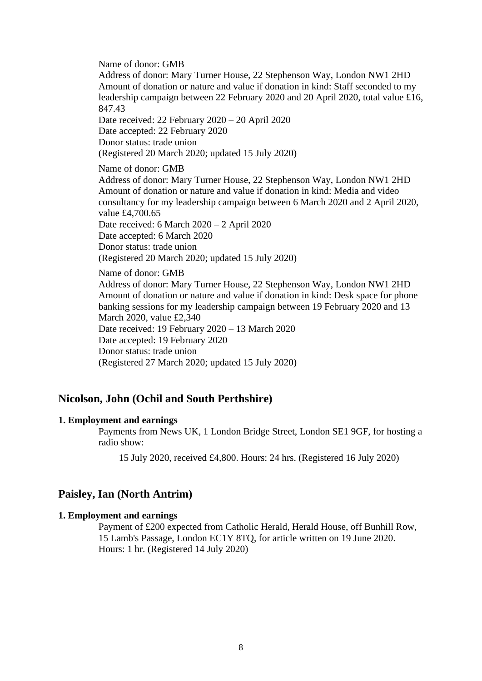Name of donor: GMB

Address of donor: Mary Turner House, 22 Stephenson Way, London NW1 2HD Amount of donation or nature and value if donation in kind: Staff seconded to my leadership campaign between 22 February 2020 and 20 April 2020, total value £16, 847.43

Date received: 22 February 2020 – 20 April 2020 Date accepted: 22 February 2020 Donor status: trade union (Registered 20 March 2020; updated 15 July 2020)

Name of donor: GMB

Address of donor: Mary Turner House, 22 Stephenson Way, London NW1 2HD Amount of donation or nature and value if donation in kind: Media and video consultancy for my leadership campaign between 6 March 2020 and 2 April 2020, value £4,700.65 Date received: 6 March 2020 – 2 April 2020 Date accepted: 6 March 2020 Donor status: trade union (Registered 20 March 2020; updated 15 July 2020)

Name of donor: GMB

Address of donor: Mary Turner House, 22 Stephenson Way, London NW1 2HD Amount of donation or nature and value if donation in kind: Desk space for phone banking sessions for my leadership campaign between 19 February 2020 and 13 March 2020, value £2,340 Date received: 19 February 2020 – 13 March 2020 Date accepted: 19 February 2020 Donor status: trade union (Registered 27 March 2020; updated 15 July 2020)

### **Nicolson, John (Ochil and South Perthshire)**

#### **1. Employment and earnings**

Payments from News UK, 1 London Bridge Street, London SE1 9GF, for hosting a radio show:

15 July 2020, received £4,800. Hours: 24 hrs. (Registered 16 July 2020)

### **Paisley, Ian (North Antrim)**

#### **1. Employment and earnings**

Payment of £200 expected from Catholic Herald, Herald House, off Bunhill Row, 15 Lamb's Passage, London EC1Y 8TQ, for article written on 19 June 2020. Hours: 1 hr. (Registered 14 July 2020)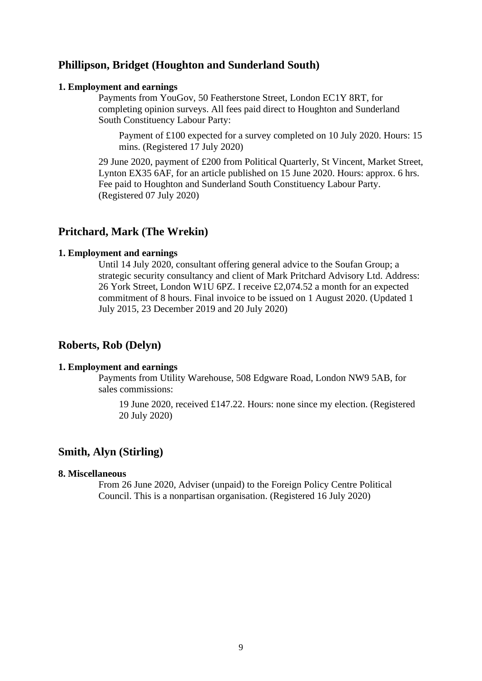# **Phillipson, Bridget (Houghton and Sunderland South)**

#### **1. Employment and earnings**

Payments from YouGov, 50 Featherstone Street, London EC1Y 8RT, for completing opinion surveys. All fees paid direct to Houghton and Sunderland South Constituency Labour Party:

Payment of £100 expected for a survey completed on 10 July 2020. Hours: 15 mins. (Registered 17 July 2020)

29 June 2020, payment of £200 from Political Quarterly, St Vincent, Market Street, Lynton EX35 6AF, for an article published on 15 June 2020. Hours: approx. 6 hrs. Fee paid to Houghton and Sunderland South Constituency Labour Party. (Registered 07 July 2020)

### **Pritchard, Mark (The Wrekin)**

### **1. Employment and earnings**

Until 14 July 2020, consultant offering general advice to the Soufan Group; a strategic security consultancy and client of Mark Pritchard Advisory Ltd. Address: 26 York Street, London W1U 6PZ. I receive £2,074.52 a month for an expected commitment of 8 hours. Final invoice to be issued on 1 August 2020. (Updated 1 July 2015, 23 December 2019 and 20 July 2020)

### **Roberts, Rob (Delyn)**

#### **1. Employment and earnings**

Payments from Utility Warehouse, 508 Edgware Road, London NW9 5AB, for sales commissions:

19 June 2020, received £147.22. Hours: none since my election. (Registered 20 July 2020)

### **Smith, Alyn (Stirling)**

### **8. Miscellaneous**

From 26 June 2020, Adviser (unpaid) to the Foreign Policy Centre Political Council. This is a nonpartisan organisation. (Registered 16 July 2020)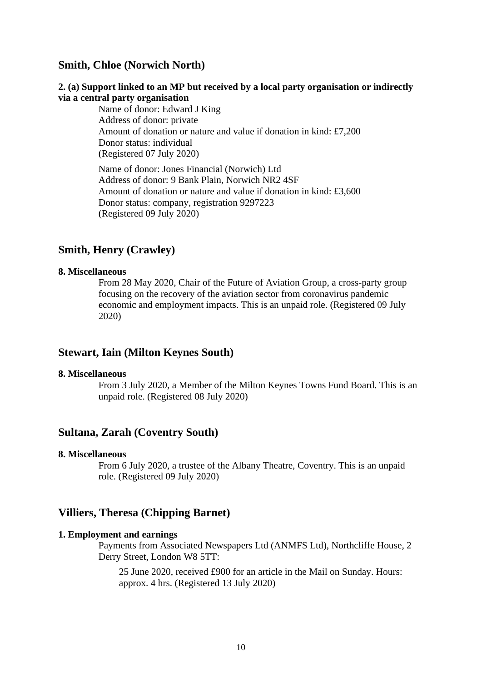# **Smith, Chloe (Norwich North)**

### **2. (a) Support linked to an MP but received by a local party organisation or indirectly via a central party organisation**

Name of donor: Edward J King Address of donor: private Amount of donation or nature and value if donation in kind: £7,200 Donor status: individual (Registered 07 July 2020)

Name of donor: Jones Financial (Norwich) Ltd Address of donor: 9 Bank Plain, Norwich NR2 4SF Amount of donation or nature and value if donation in kind: £3,600 Donor status: company, registration 9297223 (Registered 09 July 2020)

# **Smith, Henry (Crawley)**

#### **8. Miscellaneous**

From 28 May 2020, Chair of the Future of Aviation Group, a cross-party group focusing on the recovery of the aviation sector from coronavirus pandemic economic and employment impacts. This is an unpaid role. (Registered 09 July 2020)

# **Stewart, Iain (Milton Keynes South)**

#### **8. Miscellaneous**

From 3 July 2020, a Member of the Milton Keynes Towns Fund Board. This is an unpaid role. (Registered 08 July 2020)

# **Sultana, Zarah (Coventry South)**

#### **8. Miscellaneous**

From 6 July 2020, a trustee of the Albany Theatre, Coventry. This is an unpaid role. (Registered 09 July 2020)

### **Villiers, Theresa (Chipping Barnet)**

#### **1. Employment and earnings**

Payments from Associated Newspapers Ltd (ANMFS Ltd), Northcliffe House, 2 Derry Street, London W8 5TT:

25 June 2020, received £900 for an article in the Mail on Sunday. Hours: approx. 4 hrs. (Registered 13 July 2020)